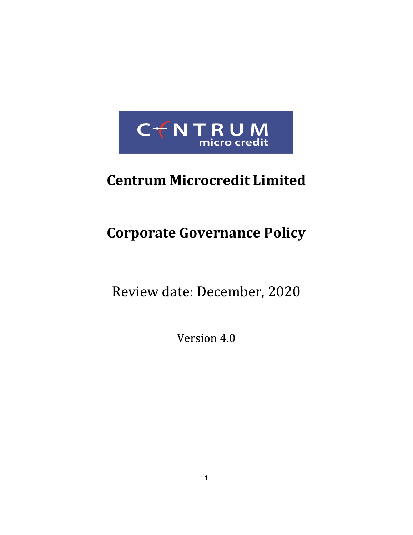

# **Centrum Microcredit Limited**

# **Corporate Governance Policy**

Review date: December, 2020

Version 4.0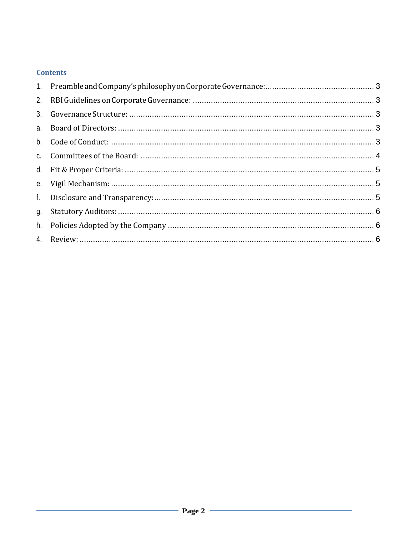# **Contents**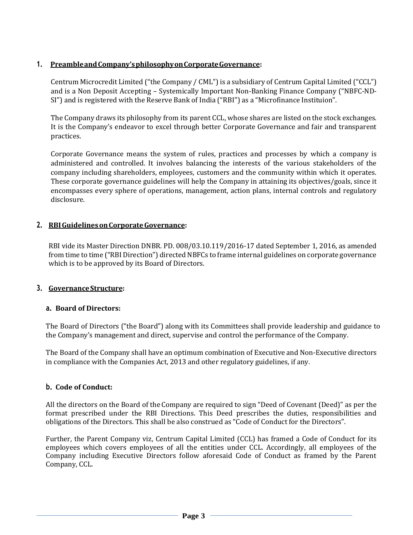# <span id="page-2-0"></span>**1. PreambleandCompany'sphilosophyonCorporateGovernance:**

Centrum Microcredit Limited ("the Company / CML") is a subsidiary of Centrum Capital Limited ("CCL") and is a Non Deposit Accepting – Systemically Important Non-Banking Finance Company ("NBFC-ND-SI") and is registered with the Reserve Bank of India ("RBI") as a "Microfinance Instituion".

The Company draws its philosophy from its parent CCL, whose shares are listed on the stock exchanges. It is the Company's endeavor to excel through better Corporate Governance and fair and transparent practices.

Corporate Governance means the system of rules, practices and processes by which a company is administered and controlled. It involves balancing the interests of the various stakeholders of the company including shareholders, employees, customers and the community within which it operates. These corporate governance guidelines will help the Company in attaining its objectives/goals, since it encompasses every sphere of operations, management, action plans, internal controls and regulatory disclosure.

# <span id="page-2-1"></span>**2. RBIGuidelinesonCorporateGovernance:**

RBI vide its Master Direction DNBR. PD. 008/03.10.119/2016-17 dated September 1, 2016, as amended from time to time ("RBI Direction") directed NBFCs to frame internal guidelines on corporate governance which is to be approved by its Board of Directors.

# <span id="page-2-2"></span>**3. GovernanceStructure:**

# <span id="page-2-3"></span>**a. Board of Directors:**

The Board of Directors ("the Board") along with its Committees shall provide leadership and guidance to the Company's management and direct, supervise and control the performance of the Company.

The Board of the Company shall have an optimum combination of Executive and Non-Executive directors in compliance with the Companies Act, 2013 and other regulatory guidelines, if any.

# <span id="page-2-4"></span>**b. Code of Conduct:**

All the directors on the Board of theCompany are required to sign "Deed of Covenant (Deed)" as per the format prescribed under the RBI Directions. This Deed prescribes the duties, responsibilities and obligations of the Directors. This shall be also construed as "Code of Conduct for the Directors".

Further, the Parent Company viz, Centrum Capital Limited (CCL) has framed a Code of Conduct for its employees which covers employees of all the entities under CCL. Accordingly, all employees of the Company including Executive Directors follow aforesaid Code of Conduct as framed by the Parent Company, CCL.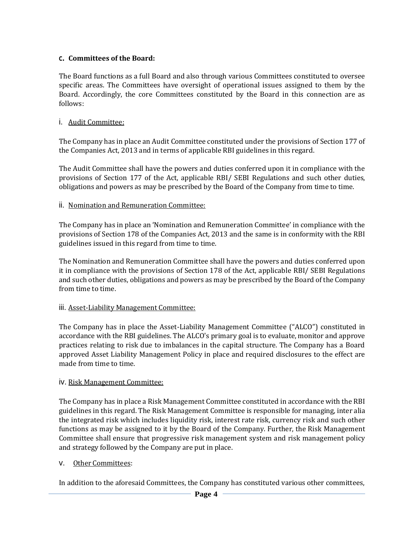# <span id="page-3-0"></span>**c. Committees of the Board:**

The Board functions as a full Board and also through various Committees constituted to oversee specific areas. The Committees have oversight of operational issues assigned to them by the Board. Accordingly, the core Committees constituted by the Board in this connection are as follows:

# i. Audit Committee:

The Company has in place an Audit Committee constituted under the provisions of Section 177 of the Companies Act, 2013 and in terms of applicable RBI guidelines in this regard.

The Audit Committee shall have the powers and duties conferred upon it in compliance with the provisions of Section 177 of the Act, applicable RBI/ SEBI Regulations and such other duties, obligations and powers as may be prescribed by the Board of the Company from time to time.

# ii. Nomination and Remuneration Committee:

The Company has in place an 'Nomination and Remuneration Committee' in compliance with the provisions of Section 178 of the Companies Act, 2013 and the same is in conformity with the RBI guidelines issued in this regard from time to time.

The Nomination and Remuneration Committee shall have the powers and duties conferred upon it in compliance with the provisions of Section 178 of the Act, applicable RBI/ SEBI Regulations and such other duties, obligations and powers as may be prescribed by the Board of the Company from time to time.

# iii. Asset-Liability Management Committee:

The Company has in place the Asset-Liability Management Committee ("ALCO") constituted in accordance with the RBI guidelines. The ALCO's primary goal is to evaluate, monitor and approve practices relating to risk due to imbalances in the capital structure. The Company has a Board approved Asset Liability Management Policy in place and required disclosures to the effect are made from time to time.

# iv. Risk Management Committee:

The Company has in place a Risk Management Committee constituted in accordance with the RBI guidelines in this regard. The Risk Management Committee is responsible for managing, inter alia the integrated risk which includes liquidity risk, interest rate risk, currency risk and such other functions as may be assigned to it by the Board of the Company. Further, the Risk Management Committee shall ensure that progressive risk management system and risk management policy and strategy followed by the Company are put in place.

# v. Other Committees:

In addition to the aforesaid Committees, the Company has constituted various other committees,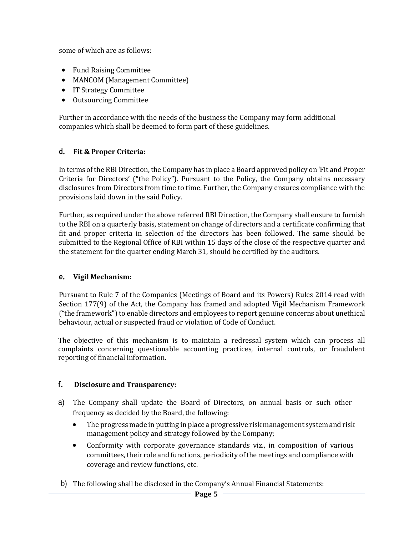some of which are as follows:

- Fund Raising Committee
- MANCOM (Management Committee)
- IT Strategy Committee
- Outsourcing Committee

Further in accordance with the needs of the business the Company may form additional companies which shall be deemed to form part of these guidelines.

# <span id="page-4-0"></span>**d. Fit & Proper Criteria:**

In terms of the RBI Direction, the Company has in place a Board approved policy on 'Fit and Proper Criteria for Directors' ("the Policy"). Pursuant to the Policy, the Company obtains necessary disclosures from Directors from time to time. Further, the Company ensures compliance with the provisions laid down in the said Policy.

Further, as required under the above referred RBI Direction, the Company shall ensure to furnish to the RBI on a quarterly basis, statement on change of directors and a certificate confirming that fit and proper criteria in selection of the directors has been followed. The same should be submitted to the Regional Office of RBI within 15 days of the close of the respective quarter and the statement for the quarter ending March 31, should be certified by the auditors.

# <span id="page-4-1"></span>**e. Vigil Mechanism:**

Pursuant to Rule 7 of the Companies (Meetings of Board and its Powers) Rules 2014 read with Section 177(9) of the Act, the Company has framed and adopted Vigil Mechanism Framework ("the framework") to enable directors and employees to report genuine concerns about unethical behaviour, actual or suspected fraud or violation of Code of Conduct.

The objective of this mechanism is to maintain a redressal system which can process all complaints concerning questionable accounting practices, internal controls, or fraudulent reporting of financial information.

# <span id="page-4-2"></span>**f. Disclosure and Transparency:**

- a) The Company shall update the Board of Directors, on annual basis or such other frequency as decided by the Board, the following:
	- The progress made in putting in place a progressive risk management system and risk management policy and strategy followed by the Company;
	- Conformity with corporate governance standards viz., in composition of various committees, their role and functions, periodicity of the meetings and compliance with coverage and review functions, etc.
- b) The following shall be disclosed in the Company's Annual Financial Statements: